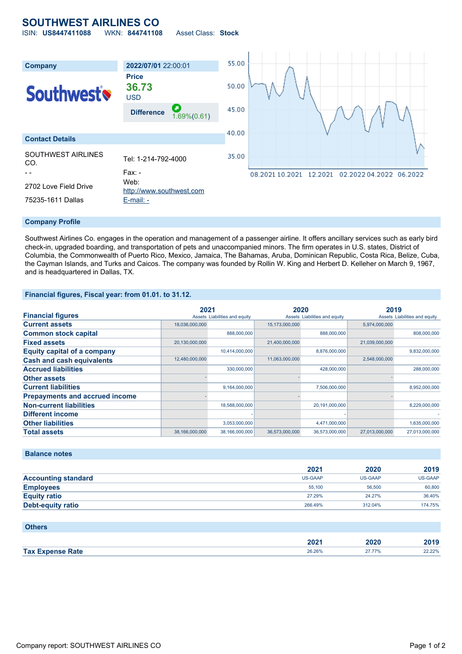# **SOUTHWEST AIRLINES CO**

ISIN: **US8447411088** WKN: **844741108** Asset Class: **Stock**



#### **Company Profile**

Southwest Airlines Co. engages in the operation and management of a passenger airline. It offers ancillary services such as early bird check-in, upgraded boarding, and transportation of pets and unaccompanied minors. The firm operates in U.S. states, District of Columbia, the Commonwealth of Puerto Rico, Mexico, Jamaica, The Bahamas, Aruba, Dominican Republic, Costa Rica, Belize, Cuba, the Cayman Islands, and Turks and Caicos. The company was founded by Rollin W. King and Herbert D. Kelleher on March 9, 1967, and is headquartered in Dallas, TX.

## **Financial figures, Fiscal year: from 01.01. to 31.12.**

|                                       | 2021                          |                | 2020                          |                | 2019                          |                |
|---------------------------------------|-------------------------------|----------------|-------------------------------|----------------|-------------------------------|----------------|
| <b>Financial figures</b>              | Assets Liabilities and equity |                | Assets Liabilities and equity |                | Assets Liabilities and equity |                |
| <b>Current assets</b>                 | 18,036,000,000                |                | 15,173,000,000                |                | 5,974,000,000                 |                |
| <b>Common stock capital</b>           |                               | 888,000,000    |                               | 888,000,000    |                               | 808,000,000    |
| <b>Fixed assets</b>                   | 20,130,000,000                |                | 21,400,000,000                |                | 21,039,000,000                |                |
| <b>Equity capital of a company</b>    |                               | 10,414,000,000 |                               | 8,876,000,000  |                               | 9,832,000,000  |
| <b>Cash and cash equivalents</b>      | 12,480,000,000                |                | 11,063,000,000                |                | 2,548,000,000                 |                |
| <b>Accrued liabilities</b>            |                               | 330,000,000    |                               | 428,000,000    |                               | 288,000,000    |
| <b>Other assets</b>                   |                               |                |                               |                |                               |                |
| <b>Current liabilities</b>            |                               | 9,164,000,000  |                               | 7,506,000,000  |                               | 8,952,000,000  |
| <b>Prepayments and accrued income</b> |                               |                |                               |                |                               |                |
| <b>Non-current liabilities</b>        |                               | 18,588,000,000 |                               | 20,191,000,000 |                               | 8,229,000,000  |
| <b>Different income</b>               |                               |                |                               |                |                               |                |
| <b>Other liabilities</b>              |                               | 3,053,000,000  |                               | 4,471,000,000  |                               | 1,635,000,000  |
| <b>Total assets</b>                   | 38,166,000,000                | 38,166,000,000 | 36,573,000,000                | 36,573,000,000 | 27,013,000,000                | 27,013,000,000 |

### **Balance notes**

|                            | 2021           | 2020    | 2019    |
|----------------------------|----------------|---------|---------|
| <b>Accounting standard</b> | <b>US-GAAP</b> | US-GAAP | US-GAAP |
| <b>Employees</b>           | 55.100         | 56,500  | 60,800  |
| <b>Equity ratio</b>        | 27.29%         | 24.27%  | 36.40%  |
| <b>Debt-equity ratio</b>   | 266.49%        | 312.04% | 174.75% |

| <b>Others</b>           |        |        |        |
|-------------------------|--------|--------|--------|
|                         | 2021   | 2020   | 2019   |
| <b>Tax Expense Rate</b> | 26.26% | 27.77% | 22.22% |